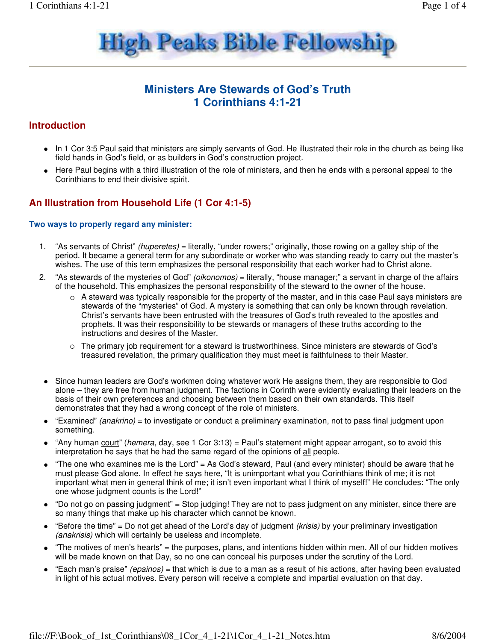

## **Ministers Are Stewards of God's Truth 1 Corinthians 4:1-21**

### **Introduction**

- In 1 Cor 3:5 Paul said that ministers are simply servants of God. He illustrated their role in the church as being like field hands in God's field, or as builders in God's construction project.
- Here Paul begins with a third illustration of the role of ministers, and then he ends with a personal appeal to the Corinthians to end their divisive spirit.

### **An Illustration from Household Life (1 Cor 4:1-5)**

#### **Two ways to properly regard any minister:**

- 1. "As servants of Christ" (huperetes) = literally, "under rowers;" originally, those rowing on a galley ship of the period. It became a general term for any subordinate or worker who was standing ready to carry out the master's wishes. The use of this term emphasizes the personal responsibility that each worker had to Christ alone.
- 2. "As stewards of the mysteries of God" (*oikonomos*) = literally, "house manager;" a servant in charge of the affairs of the household. This emphasizes the personal responsibility of the steward to the owner of the house.
	- $\circ$  A steward was typically responsible for the property of the master, and in this case Paul says ministers are stewards of the "mysteries" of God. A mystery is something that can only be known through revelation. Christ's servants have been entrusted with the treasures of God's truth revealed to the apostles and prophets. It was their responsibility to be stewards or managers of these truths according to the instructions and desires of the Master.
	- $\circ$  The primary job requirement for a steward is trustworthiness. Since ministers are stewards of God's treasured revelation, the primary qualification they must meet is faithfulness to their Master.
	- Since human leaders are God's workmen doing whatever work He assigns them, they are responsible to God alone – they are free from human judgment. The factions in Corinth were evidently evaluating their leaders on the basis of their own preferences and choosing between them based on their own standards. This itself demonstrates that they had a wrong concept of the role of ministers.
	- "Examined" (anakrino) = to investigate or conduct a preliminary examination, not to pass final judgment upon something.
	- "Any human court" (hemera, day, see 1 Cor 3:13) = Paul's statement might appear arrogant, so to avoid this interpretation he says that he had the same regard of the opinions of all people.
	- "The one who examines me is the Lord" = As God's steward, Paul (and every minister) should be aware that he must please God alone. In effect he says here, "It is unimportant what you Corinthians think of me; it is not important what men in general think of me; it isn't even important what I think of myself!" He concludes: "The only one whose judgment counts is the Lord!"
	- "Do not go on passing judgment" = Stop judging! They are not to pass judgment on any minister, since there are so many things that make up his character which cannot be known.
	- $\bullet$  "Before the time" = Do not get ahead of the Lord's day of judgment *(krisis)* by your preliminary investigation (anakrisis) which will certainly be useless and incomplete.
	- "The motives of men's hearts" = the purposes, plans, and intentions hidden within men. All of our hidden motives will be made known on that Day, so no one can conceal his purposes under the scrutiny of the Lord.
	- "Each man's praise" (epainos) = that which is due to a man as a result of his actions, after having been evaluated in light of his actual motives. Every person will receive a complete and impartial evaluation on that day.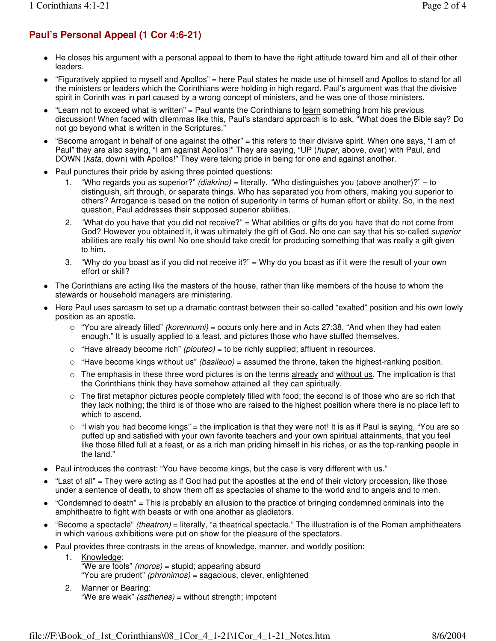# **Paul's Personal Appeal (1 Cor 4:6-21)**

- He closes his argument with a personal appeal to them to have the right attitude toward him and all of their other leaders.
- "Figuratively applied to myself and Apollos" = here Paul states he made use of himself and Apollos to stand for all the ministers or leaders which the Corinthians were holding in high regard. Paul's argument was that the divisive spirit in Corinth was in part caused by a wrong concept of ministers, and he was one of those ministers.
- "Learn not to exceed what is written" = Paul wants the Corinthians to  $\frac{learn}{learn}$  something from his previous discussion! When faced with dilemmas like this, Paul's standard approach is to ask, "What does the Bible say? Do not go beyond what is written in the Scriptures."
- "Become arrogant in behalf of one against the other" = this refers to their divisive spirit. When one says, "I am of Paul" they are also saying, "I am against Apollos!" They are saying, "UP (huper, above, over) with Paul, and DOWN (kata, down) with Apollos!" They were taking pride in being for one and against another.
- Paul punctures their pride by asking three pointed questions:
	- 1. "Who regards you as superior?" (diakrino) = literally, "Who distinguishes you (above another)?" to distinguish, sift through, or separate things. Who has separated you from others, making you superior to others? Arrogance is based on the notion of superiority in terms of human effort or ability. So, in the next question, Paul addresses their supposed superior abilities.
	- 2. "What do you have that you did not receive?" = What abilities or gifts do you have that do not come from God? However you obtained it, it was ultimately the gift of God. No one can say that his so-called superior abilities are really his own! No one should take credit for producing something that was really a gift given to him.
	- 3. "Why do you boast as if you did not receive it?" = Why do you boast as if it were the result of your own effort or skill?
- The Corinthians are acting like the masters of the house, rather than like members of the house to whom the stewards or household managers are ministering.
- Here Paul uses sarcasm to set up a dramatic contrast between their so-called "exalted" position and his own lowly position as an apostle.
	- $\circ$  "You are already filled" *(korennumi)* = occurs only here and in Acts 27:38, "And when they had eaten enough." It is usually applied to a feast, and pictures those who have stuffed themselves.
	- $\circ$  "Have already become rich" (plouteo) = to be richly supplied; affluent in resources.
	- $\circ$  "Have become kings without us" *(basileuo)* = assumed the throne, taken the highest-ranking position.
	- $\circ$  The emphasis in these three word pictures is on the terms  $\frac{a}{a}$  and  $\frac{a}{b}$  without us. The implication is that the Corinthians think they have somehow attained all they can spiritually.
	- $\circ$  The first metaphor pictures people completely filled with food; the second is of those who are so rich that they lack nothing; the third is of those who are raised to the highest position where there is no place left to which to ascend.
	- "I wish you had become kings" = the implication is that they were <u>not</u>! It is as if Paul is saying, "You are so puffed up and satisfied with your own favorite teachers and your own spiritual attainments, that you feel like those filled full at a feast, or as a rich man priding himself in his riches, or as the top-ranking people in the land."
- Paul introduces the contrast: "You have become kings, but the case is very different with us."
- "Last of all" = They were acting as if God had put the apostles at the end of their victory procession, like those under a sentence of death, to show them off as spectacles of shame to the world and to angels and to men.
- "Condemned to death" = This is probably an allusion to the practice of bringing condemned criminals into the amphitheatre to fight with beasts or with one another as gladiators.
- "Become a spectacle" (theatron) = literally, "a theatrical spectacle." The illustration is of the Roman amphitheaters in which various exhibitions were put on show for the pleasure of the spectators.
- Paul provides three contrasts in the areas of knowledge, manner, and worldly position:
	- 1. Knowledge: "We are fools" (moros) = stupid; appearing absurd "You are prudent" (phronimos) = sagacious, clever, enlightened
	- 2. Manner or Bearing: "We are weak" (asthenes) = without strength; impotent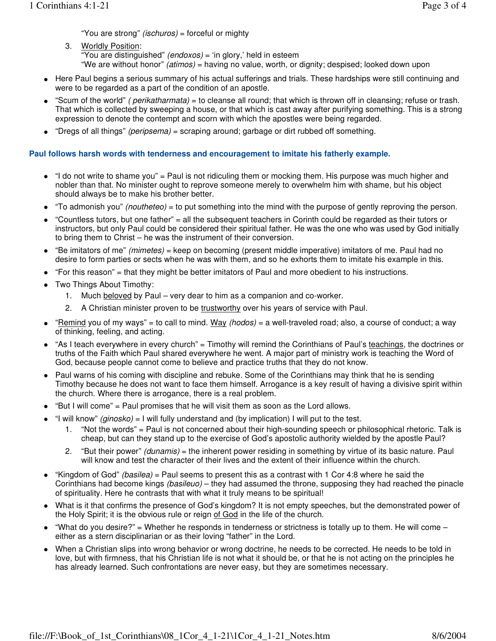"You are strong" (ischuros) = forceful or mighty

- 3. Worldly Position: "You are distinguished" (endoxos) = 'in glory,' held in esteem "We are without honor" (atimos) = having no value, worth, or dignity; despised; looked down upon
- Here Paul begins a serious summary of his actual sufferings and trials. These hardships were still continuing and
- were to be regarded as a part of the condition of an apostle.
- $\bullet$  "Scum of the world" *( perikatharmata)* = to cleanse all round; that which is thrown off in cleansing; refuse or trash. That which is collected by sweeping a house, or that which is cast away after purifying something. This is a strong expression to denote the contempt and scorn with which the apostles were being regarded.
- "Dregs of all things" (peripsema) = scraping around; garbage or dirt rubbed off something.

### **Paul follows harsh words with tenderness and encouragement to imitate his fatherly example.**

- "I do not write to shame you" = Paul is not ridiculing them or mocking them. His purpose was much higher and nobler than that. No minister ought to reprove someone merely to overwhelm him with shame, but his object should always be to make his brother better.
- $\bullet$  "To admonish you" *(noutheteo)* = to put something into the mind with the purpose of gently reproving the person.
- "Countless tutors, but one father" = all the subsequent teachers in Corinth could be regarded as their tutors or instructors, but only Paul could be considered their spiritual father. He was the one who was used by God initially to bring them to Christ – he was the instrument of their conversion.
- "Be imitators of me" (mimetes) = keep on becoming (present middle imperative) imitators of me. Paul had no desire to form parties or sects when he was with them, and so he exhorts them to imitate his example in this.
- "For this reason" = that they might be better imitators of Paul and more obedient to his instructions.
- Two Things About Timothy:
	- 1. Much beloved by Paul very dear to him as a companion and co-worker.
	- 2. A Christian minister proven to be trustworthy over his years of service with Paul.
- $\bullet$  "Remind you of my ways" = to call to mind. Way *(hodos)* = a well-traveled road; also, a course of conduct; a way of thinking, feeling, and acting.
- "As I teach everywhere in every church" = Timothy will remind the Corinthians of Paul's teachings, the doctrines or truths of the Faith which Paul shared everywhere he went. A major part of ministry work is teaching the Word of God, because people cannot come to believe and practice truths that they do not know.
- Paul warns of his coming with discipline and rebuke. Some of the Corinthians may think that he is sending Timothy because he does not want to face them himself. Arrogance is a key result of having a divisive spirit within the church. Where there is arrogance, there is a real problem.
- "But I will come" = Paul promises that he will visit them as soon as the Lord allows.
- "I will know" (ginosko) = I will fully understand and (by implication) I will put to the test.
	- 1. "Not the words" = Paul is not concerned about their high-sounding speech or philosophical rhetoric. Talk is cheap, but can they stand up to the exercise of God's apostolic authority wielded by the apostle Paul?
	- 2. "But their power" (dunamis) = the inherent power residing in something by virtue of its basic nature. Paul will know and test the character of their lives and the extent of their influence within the church.
- "Kingdom of God" (basilea) = Paul seems to present this as a contrast with 1 Cor 4:8 where he said the Corinthians had become kings (basileuo) – they had assumed the throne, supposing they had reached the pinacle of spirituality. Here he contrasts that with what it truly means to be spiritual!
- What is it that confirms the presence of God's kingdom? It is not empty speeches, but the demonstrated power of the Holy Spirit; it is the obvious rule or reign of God in the life of the church.
- "What do you desire?" = Whether he responds in tenderness or strictness is totally up to them. He will come  $$ either as a stern disciplinarian or as their loving "father" in the Lord.
- When a Christian slips into wrong behavior or wrong doctrine, he needs to be corrected. He needs to be told in love, but with firmness, that his Christian life is not what it should be, or that he is not acting on the principles he has already learned. Such confrontations are never easy, but they are sometimes necessary.